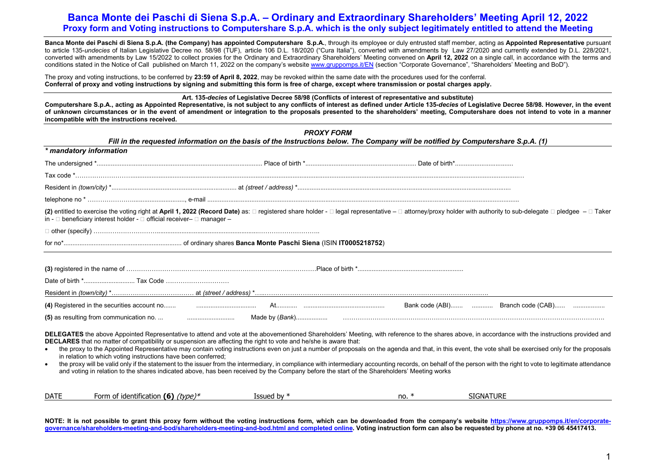**Banca Monte dei Paschi di Siena S.p.A. (the Company) has appointed Computershare S.p.A.**, through its employee or duly entrusted staff member, acting as **Appointed Representative** pursuant to article 135-*undecies* of Italian Legislative Decree no. 58/98 (TUF), article 106 D.L. 18/2020 ("Cura Italia"), converted with amendments by Law 27/2020 and currently extended by D.L. 228/2021, converted with amendments by Law 15/2022 to collect proxies for the Ordinary and Extraordinary Shareholders' Meeting convened on **April 12, 2022** on a single call, in accordance with the terms and conditions stated in the Notice of Call published on March 11, 2022 on the company's website [www.gruppomps.it/EN](http://www.gruppomps.it/EN) (section "Corporate Governance", "Shareholders' Meeting and BoD").

The proxy and voting instructions, to be conferred by **23:59 of April 8, 2022**, may be revoked within the same date with the procedures used for the conferral. **Conferral of proxy and voting instructions by signing and submitting this form is free of charge, except where transmission or postal charges apply.**

#### **Art. 135-***decies* **of Legislative Decree 58/98 (Conflicts of interest of representative and substitute)**

**Computershare S.p.A., acting as Appointed Representative, is not subject to any conflicts of interest as defined under Article 135-***decies* **of Legislative Decree 58/98. However, in the event of unknown circumstances or in the event of amendment or integration to the proposals presented to the shareholders' meeting, Computershare does not intend to vote in a manner incompatible with the instructions received.**

|                         | Fill in the requested information on the basis of the Instructions below. The Company will be notified by Computershare S.p.A. (1)                                                                                                                                                                                                                                                                                                                                                                                                                                                                                                                                                                                                                                                                                                                                                                                                                               | <b>PROXY FORM</b> |         |                  |
|-------------------------|------------------------------------------------------------------------------------------------------------------------------------------------------------------------------------------------------------------------------------------------------------------------------------------------------------------------------------------------------------------------------------------------------------------------------------------------------------------------------------------------------------------------------------------------------------------------------------------------------------------------------------------------------------------------------------------------------------------------------------------------------------------------------------------------------------------------------------------------------------------------------------------------------------------------------------------------------------------|-------------------|---------|------------------|
| * mandatory information |                                                                                                                                                                                                                                                                                                                                                                                                                                                                                                                                                                                                                                                                                                                                                                                                                                                                                                                                                                  |                   |         |                  |
|                         |                                                                                                                                                                                                                                                                                                                                                                                                                                                                                                                                                                                                                                                                                                                                                                                                                                                                                                                                                                  |                   |         |                  |
|                         |                                                                                                                                                                                                                                                                                                                                                                                                                                                                                                                                                                                                                                                                                                                                                                                                                                                                                                                                                                  |                   |         |                  |
|                         |                                                                                                                                                                                                                                                                                                                                                                                                                                                                                                                                                                                                                                                                                                                                                                                                                                                                                                                                                                  |                   |         |                  |
|                         |                                                                                                                                                                                                                                                                                                                                                                                                                                                                                                                                                                                                                                                                                                                                                                                                                                                                                                                                                                  |                   |         |                  |
|                         | (2) entitled to exercise the voting right at April 1, 2022 (Record Date) as: □ registered share holder - □ legal representative - □ attorney/proxy holder with authority to sub-delegate □ pledgee - □ Taker<br>in - $\Box$ beneficiary interest holder - $\Box$ official receiver- $\Box$ manager -                                                                                                                                                                                                                                                                                                                                                                                                                                                                                                                                                                                                                                                             |                   |         |                  |
|                         |                                                                                                                                                                                                                                                                                                                                                                                                                                                                                                                                                                                                                                                                                                                                                                                                                                                                                                                                                                  |                   |         |                  |
|                         |                                                                                                                                                                                                                                                                                                                                                                                                                                                                                                                                                                                                                                                                                                                                                                                                                                                                                                                                                                  |                   |         |                  |
|                         |                                                                                                                                                                                                                                                                                                                                                                                                                                                                                                                                                                                                                                                                                                                                                                                                                                                                                                                                                                  |                   |         |                  |
|                         | (4) Registered in the securities account no <b>microcomputation account no content content content content</b>                                                                                                                                                                                                                                                                                                                                                                                                                                                                                                                                                                                                                                                                                                                                                                                                                                                   |                   |         |                  |
|                         |                                                                                                                                                                                                                                                                                                                                                                                                                                                                                                                                                                                                                                                                                                                                                                                                                                                                                                                                                                  |                   |         |                  |
| $\bullet$               | DELEGATES the above Appointed Representative to attend and vote at the abovementioned Shareholders' Meeting, with reference to the shares above, in accordance with the instructions provided and<br>DECLARES that no matter of compatibility or suspension are affecting the right to vote and he/she is aware that:<br>the proxy to the Appointed Representative may contain voting instructions even on just a number of proposals on the agenda and that, in this event, the vote shall be exercised only for the proposals<br>in relation to which voting instructions have been conferred;<br>the proxy will be valid only if the statement to the issuer from the intermediary, in compliance with intermediary accounting records, on behalf of the person with the right to vote to legitimate attendance<br>and voting in relation to the shares indicated above, has been received by the Company before the start of the Shareholders' Meeting works |                   |         |                  |
| <b>DATE</b>             | Form of identification (6) $(type)*$                                                                                                                                                                                                                                                                                                                                                                                                                                                                                                                                                                                                                                                                                                                                                                                                                                                                                                                             | Issued by $*$     | no. $*$ | <b>SIGNATURE</b> |

**NOTE: It is not possible to grant this proxy form without the voting instructions form, which can be downloaded from the company's website [https://www.gruppomps.it/en/corporate](https://www.gruppomps.it/en/corporate-governance/shareholders-meeting-and-bod/shareholders-meeting-and-bod.html)[governance/shareholders-meeting-and-bod/shareholders-meeting-and-bod.html](https://www.gruppomps.it/en/corporate-governance/shareholders-meeting-and-bod/shareholders-meeting-and-bod.html) and completed online. Voting instruction form can also be requested by phone at no. +39 06 45417413.**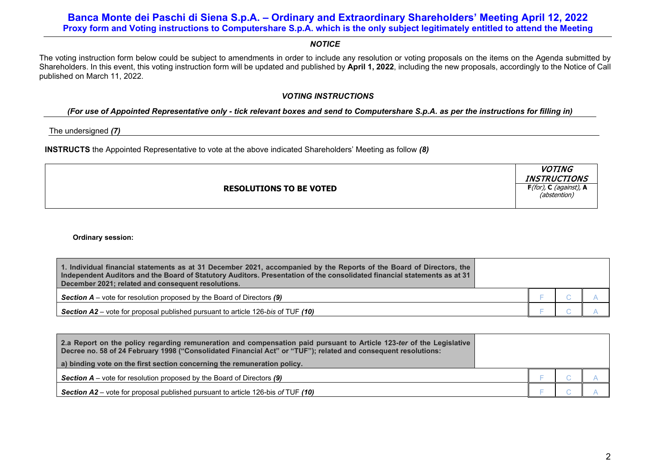## *NOTICE*

The voting instruction form below could be subject to amendments in order to include any resolution or voting proposals on the items on the Agenda submitted by Shareholders. In this event, this voting instruction form will be updated and published by **April 1, 2022**, including the new proposals, accordingly to the Notice of Call published on March 11, 2022.

## *VOTING INSTRUCTIONS*

## *(For use of Appointed Representative only - tick relevant boxes and send to Computershare S.p.A. as per the instructions for filling in)*

The undersigned *(7)*

**INSTRUCTS** the Appointed Representative to vote at the above indicated Shareholders' Meeting as follow *(8)*

**RESOLUTIONS TO BE VOTED**

**VOTING INSTRUCTIONS F**(for), **C** (against), **A** (abstention)

**Ordinary session:**

| 1. Individual financial statements as at 31 December 2021, accompanied by the Reports of the Board of Directors, the<br>Independent Auditors and the Board of Statutory Auditors. Presentation of the consolidated financial statements as at 31<br>December 2021; related and consequent resolutions. |  |  |
|--------------------------------------------------------------------------------------------------------------------------------------------------------------------------------------------------------------------------------------------------------------------------------------------------------|--|--|
| <b>Section <math>A</math></b> – vote for resolution proposed by the Board of Directors (9)                                                                                                                                                                                                             |  |  |
| <b>Section A2</b> – vote for proposal published pursuant to article 126-bis of TUF (10)                                                                                                                                                                                                                |  |  |

| 2.a Report on the policy regarding remuneration and compensation paid pursuant to Article 123-ter of the Legislative<br>Decree no. 58 of 24 February 1998 ("Consolidated Financial Act" or "TUF"); related and consequent resolutions: |  |  |
|----------------------------------------------------------------------------------------------------------------------------------------------------------------------------------------------------------------------------------------|--|--|
| a) binding vote on the first section concerning the remuneration policy.                                                                                                                                                               |  |  |
| <b>Section A</b> – vote for resolution proposed by the Board of Directors $(9)$                                                                                                                                                        |  |  |
| <b>Section A2</b> – vote for proposal published pursuant to article 126-bis of TUF $(10)$                                                                                                                                              |  |  |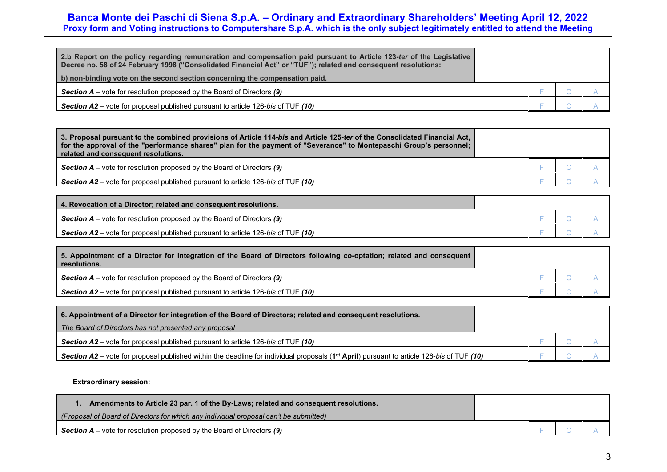| 2.b Report on the policy regarding remuneration and compensation paid pursuant to Article 123-ter of the Legislative<br>Decree no. 58 of 24 February 1998 ("Consolidated Financial Act" or "TUF"); related and consequent resolutions: |  |  |
|----------------------------------------------------------------------------------------------------------------------------------------------------------------------------------------------------------------------------------------|--|--|
| b) non-binding vote on the second section concerning the compensation paid.                                                                                                                                                            |  |  |
| <b>Section <math>A</math></b> – vote for resolution proposed by the Board of Directors (9)                                                                                                                                             |  |  |
| <b>Section A2</b> – vote for proposal published pursuant to article 126-bis of TUF (10)                                                                                                                                                |  |  |

| 3. Proposal pursuant to the combined provisions of Article 114- <i>bis</i> and Article 125- <i>ter</i> of the Consolidated Financial Act,<br>for the approval of the "performance shares" plan for the payment of "Severance" to Montepaschi Group's personnel;<br>related and consequent resolutions. |  |  |
|--------------------------------------------------------------------------------------------------------------------------------------------------------------------------------------------------------------------------------------------------------------------------------------------------------|--|--|
| <b>Section A</b> – vote for resolution proposed by the Board of Directors $(9)$                                                                                                                                                                                                                        |  |  |
| <b>Section A2</b> – vote for proposal published pursuant to article 126-bis of TUF (10)                                                                                                                                                                                                                |  |  |

| 4. Revocation of a Director: related and consequent resolutions.                        |  |  |
|-----------------------------------------------------------------------------------------|--|--|
| <b>Section A</b> – vote for resolution proposed by the Board of Directors (9)           |  |  |
| <b>Section A2</b> – vote for proposal published pursuant to article 126-bis of TUF (10) |  |  |

| 5. Appointment of a Director for integration of the Board of Directors following co-optation; related and consequent<br>resolutions. |  |  |
|--------------------------------------------------------------------------------------------------------------------------------------|--|--|
| <b>Section A</b> – vote for resolution proposed by the Board of Directors (9)                                                        |  |  |
| <b>Section A2</b> – vote for proposal published pursuant to article 126-bis of TUF (10)                                              |  |  |

| 6. Appointment of a Director for integration of the Board of Directors; related and consequent resolutions.                                                  |  |  |
|--------------------------------------------------------------------------------------------------------------------------------------------------------------|--|--|
| The Board of Directors has not presented any proposal                                                                                                        |  |  |
| <b>Section A2</b> – vote for proposal published pursuant to article 126-bis of TUF $(10)$                                                                    |  |  |
| <b>Section A2</b> – vote for proposal published within the deadline for individual proposals (1 <sup>st</sup> April) pursuant to article 126-bis of TUF (10) |  |  |

## **Extraordinary session:**

| Amendments to Article 23 par. 1 of the By-Laws; related and consequent resolutions.   |  |  |
|---------------------------------------------------------------------------------------|--|--|
| (Proposal of Board of Directors for which any individual proposal can't be submitted) |  |  |
| <b>Section A</b> – vote for resolution proposed by the Board of Directors $(9)$       |  |  |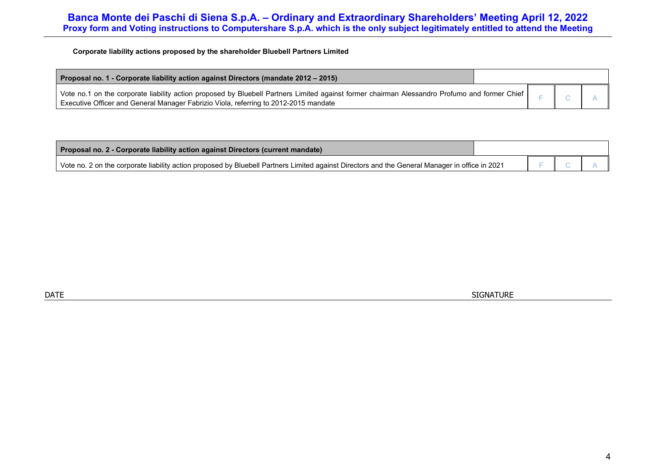**Corporate liability actions proposed by the shareholder Bluebell Partners Limited**

| Proposal no. 1 - Corporate liability action against Directors (mandate 2012 – 2015)                                                                                                                                                   |  |  |
|---------------------------------------------------------------------------------------------------------------------------------------------------------------------------------------------------------------------------------------|--|--|
| Vote no.1 on the corporate liability action proposed by Bluebell Partners Limited against former chairman Alessandro Profumo and former Chief<br>Executive Officer and General Manager Fabrizio Viola, referring to 2012-2015 mandate |  |  |

| Proposal no. 2 - Corporate liability action against Directors (current mandate)                                                                |  |  |
|------------------------------------------------------------------------------------------------------------------------------------------------|--|--|
| Vote no. 2 on the corporate liability action proposed by Bluebell Partners Limited against Directors and the General Manager in office in 2021 |  |  |

DATE SIGNATURE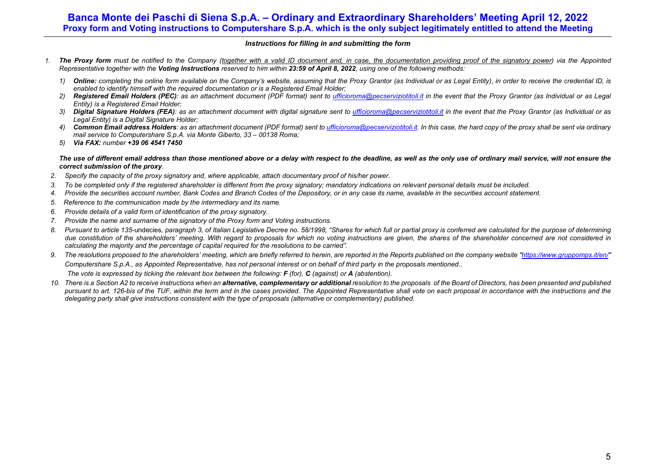#### *Instructions for filling in and submitting the form*

- *1. The Proxy form must be notified to the Company (together with a valid ID document and, in case, the documentation providing proof of the signatory power) via the Appointed Representative together with the Voting Instructions reserved to him within 23:59 of April 8, 2022, using one of the following methods:*
	- *1) Online: completing the online form available on the Company's website, assuming that the Proxy Grantor (as Individual or as Legal Entity), in order to receive the credential ID, is enabled to identify himself with the required documentation or is a Registered Email Holder;*
	- *2) Registered Email Holders (PEC): as an attachment document (PDF format) sent to [ufficioroma@pecserviziotitoli.it](mailto:ufficioroma@pecserviziotitoli.it) in the event that the Proxy Grantor (as Individual or as Legal Entity) is a Registered Email Holder;*
	- 3) Digital Signature Holders (FEA): as an attachment document with digital signature sent to [ufficioroma@pecserviziotitoli.it](mailto:xxxxx@pecserviziotitoli.it) in the event that the Proxy Grantor (as Individual or as *Legal Entity) is a Digital Signature Holder;*
	- 4) **Common Email address Holders**: as an attachment document (PDF format) sent t[o ufficioroma@pecserviziotitoli.it.](mailto:xxxxx@pecserviziotitoli.it) In this case, the hard copy of the proxy shall be sent via ordinary *mail service to Computershare S.p.A. via Monte Giberto, 33 – 00138 Roma;*
	- *5) Via FAX: number +39 06 4541 7450*

#### *The use of different email address than those mentioned above or a delay with respect to the deadline, as well as the only use of ordinary mail service, will not ensure the correct submission of the proxy.*

- *2. Specify the capacity of the proxy signatory and, where applicable, attach documentary proof of his/her power.*
- *3. To be completed only if the registered shareholder is different from the proxy signatory; mandatory indications on relevant personal details must be included.*
- *4. Provide the securities account number, Bank Codes and Branch Codes of the Depository, or in any case its name, available in the securities account statement.*
- *5. Reference to the communication made by the intermediary and its name.*
- *6. Provide details of a valid form of identification of the proxy signatory.*
- *7. Provide the name and surname of the signatory of the Proxy form and Voting instructions.*
- 8. Pursuant to article 135-undecies, paragraph 3, of Italian Legislative Decree no, 58/1998. "Shares for which full or partial proxy is conferred are calculated for the purpose of determining *due constitution of the shareholders' meeting. With regard to proposals for which no voting instructions are given, the shares of the shareholder concerned are not considered in calculating the majority and the percentage of capital required for the resolutions to be carried".*
- *9. The resolutions proposed to the shareholders' meeting, which are briefly referred to herein, are reported in the Reports published on the company website ["https://www.gruppomps.it/en/"](https://www.gruppomps.it/en/) Computershare S.p.A., as Appointed Representative, has not personal interest or on behalf of third party in the proposals mentioned..*

*The vote is expressed by ticking the relevant box between the following: F (for), C (against) or A (abstention).* 

10. There is a Section A2 to receive instructions when an alternative, complementary or additional resolution to the proposals of the Board of Directors, has been presented and published pursuant to art. 126-bis of the TUF, within the term and in the cases provided. The Appointed Representative shall vote on each proposal in accordance with the instructions and the *delegating party shall give instructions consistent with the type of proposals (alternative or complementary) published.*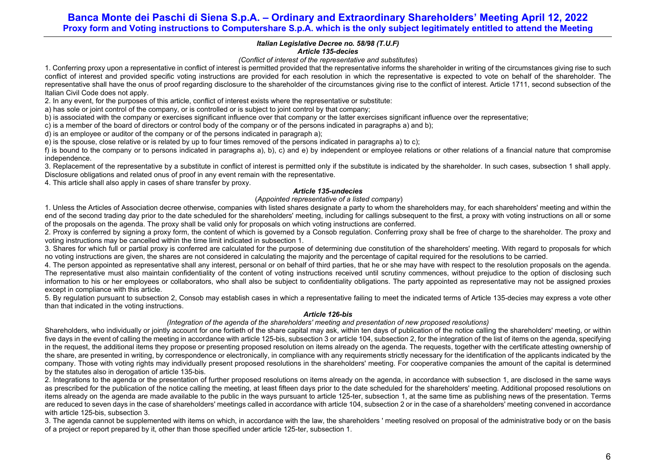### *Italian Legislative Decree no. 58/98 (T.U.F) Article 135-decies*

### *(Conflict of interest of the representative and substitutes*)

1. Conferring proxy upon a representative in conflict of interest is permitted provided that the representative informs the shareholder in writing of the circumstances giving rise to such conflict of interest and provided specific voting instructions are provided for each resolution in which the representative is expected to vote on behalf of the shareholder. The representative shall have the onus of proof regarding disclosure to the shareholder of the circumstances giving rise to the conflict of interest. Article 1711, second subsection of the Italian Civil Code does not apply.

2. In any event, for the purposes of this article, conflict of interest exists where the representative or substitute:

a) has sole or joint control of the company, or is controlled or is subject to joint control by that company;

b) is associated with the company or exercises significant influence over that company or the latter exercises significant influence over the representative;

c) is a member of the board of directors or control body of the company or of the persons indicated in paragraphs a) and b);

d) is an employee or auditor of the company or of the persons indicated in paragraph a);

e) is the spouse, close relative or is related by up to four times removed of the persons indicated in paragraphs a) to c);

f) is bound to the company or to persons indicated in paragraphs a), b), c) and e) by independent or employee relations or other relations of a financial nature that compromise independence.

3. Replacement of the representative by a substitute in conflict of interest is permitted only if the substitute is indicated by the shareholder. In such cases, subsection 1 shall apply. Disclosure obligations and related onus of proof in any event remain with the representative.

4. This article shall also apply in cases of share transfer by proxy.

### *Article 135-undecies*

### (*Appointed representative of a listed company*)

1. Unless the Articles of Association decree otherwise, companies with listed shares designate a party to whom the shareholders may, for each shareholders' meeting and within the end of the second trading day prior to the date scheduled for the shareholders' meeting, including for callings subsequent to the first, a proxy with voting instructions on all or some of the proposals on the agenda. The proxy shall be valid only for proposals on which voting instructions are conferred.

2. Proxy is conferred by signing a proxy form, the content of which is governed by a Consob regulation. Conferring proxy shall be free of charge to the shareholder. The proxy and voting instructions may be cancelled within the time limit indicated in subsection 1.

3. Shares for which full or partial proxy is conferred are calculated for the purpose of determining due constitution of the shareholders' meeting. With regard to proposals for which no voting instructions are given, the shares are not considered in calculating the majority and the percentage of capital required for the resolutions to be carried.

4. The person appointed as representative shall any interest, personal or on behalf of third parties, that he or she may have with respect to the resolution proposals on the agenda. The representative must also maintain confidentiality of the content of voting instructions received until scrutiny commences, without prejudice to the option of disclosing such information to his or her employees or collaborators, who shall also be subject to confidentiality obligations. The party appointed as representative may not be assigned proxies except in compliance with this article.

5. By regulation pursuant to subsection 2, Consob may establish cases in which a representative failing to meet the indicated terms of Article 135-decies may express a vote other than that indicated in the voting instructions.

#### *Article 126-bis*

### *(Integration of the agenda of the shareholders' meeting and presentation of new proposed resolutions)*

Shareholders, who individually or jointly account for one fortieth of the share capital may ask, within ten days of publication of the notice calling the shareholders' meeting, or within five days in the event of calling the meeting in accordance with article 125-bis, subsection 3 or article 104, subsection 2, for the integration of the list of items on the agenda, specifying in the request, the additional items they propose or presenting proposed resolution on items already on the agenda. The requests, together with the certificate attesting ownership of the share, are presented in writing, by correspondence or electronically, in compliance with any requirements strictly necessary for the identification of the applicants indicated by the company. Those with voting rights may individually present proposed resolutions in the shareholders' meeting. For cooperative companies the amount of the capital is determined by the statutes also in derogation of article 13[5-bis.](http://www.consob.it/mainen/documenti/english/laws/fr_decree58_1998.htm#sdfootnote595bissym) 

2. Integrations to the agenda or the presentation of further proposed resolutions on items already on the agenda, in accordance with subsection 1, are disclosed in the same ways as prescribed for the publication of the notice calling the meeting, at least fifteen days prior to the date scheduled for the shareholders' meeting. Additional proposed resolutions on items already on the agenda are made available to the public in the ways pursuant to article 125-ter, subsection 1, at the same time as publishing news of the presentation. Terms are reduced to seven days in the case of shareholders' meetings called in accordance with article 104, subsection 2 or in the case of a shareholders' meeting convened in accordance with article 125-bis, subsection 3.

3. The agenda cannot be supplemented with items on which, in accordance with the law, the shareholders ' meeting resolved on proposal of the administrative body or on the basis of a project or report prepared by it, other than those specified under article 125-ter, subsection 1.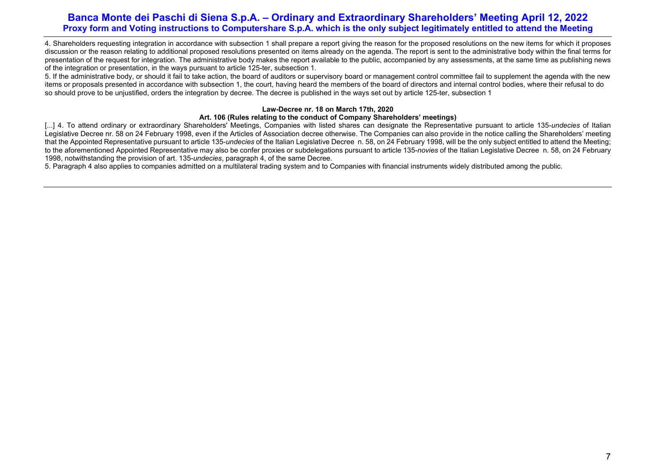4. Shareholders requesting integration in accordance with subsection 1 shall prepare a report giving the reason for the proposed resolutions on the new items for which it proposes discussion or the reason relating to additional proposed resolutions presented on items already on the agenda. The report is sent to the administrative body within the final terms for presentation of the request for integration. The administrative body makes the report available to the public, accompanied by any assessments, at the same time as publishing news of the integration or presentation, in the ways pursuant to article 125-ter, subsection 1.

5. If the administrative body, or should it fail to take action, the board of auditors or supervisory board or management control committee fail to supplement the agenda with the new items or proposals presented in accordance with subsection 1, the court, having heard the members of the board of directors and internal control bodies, where their refusal to do so should prove to be unjustified, orders the integration by decree. The decree is published in the ways set out by article 125-ter, subsection 1

### **Law-Decree nr. 18 on March 17th, 2020**

### **Art. 106 (Rules relating to the conduct of Company Shareholders' meetings)**

[...] 4. To attend ordinary or extraordinary Shareholders' Meetings, Companies with listed shares can designate the Representative pursuant to article 135-*undecies* of Italian Legislative Decree nr. 58 on 24 February 1998, even if the Articles of Association decree otherwise. The Companies can also provide in the notice calling the Shareholders' meeting that the Appointed Representative pursuant to article 135-*undecies* of the Italian Legislative Decree n. 58, on 24 February 1998, will be the only subject entitled to attend the Meeting; to the aforementioned Appointed Representative may also be confer proxies or subdelegations pursuant to article 135-*novies* of the Italian Legislative Decree n. 58, on 24 February 1998, notwithstanding the provision of art. 135-*undecies*, paragraph 4, of the same Decree.

5. Paragraph 4 also applies to companies admitted on a multilateral trading system and to Companies with financial instruments widely distributed among the public.